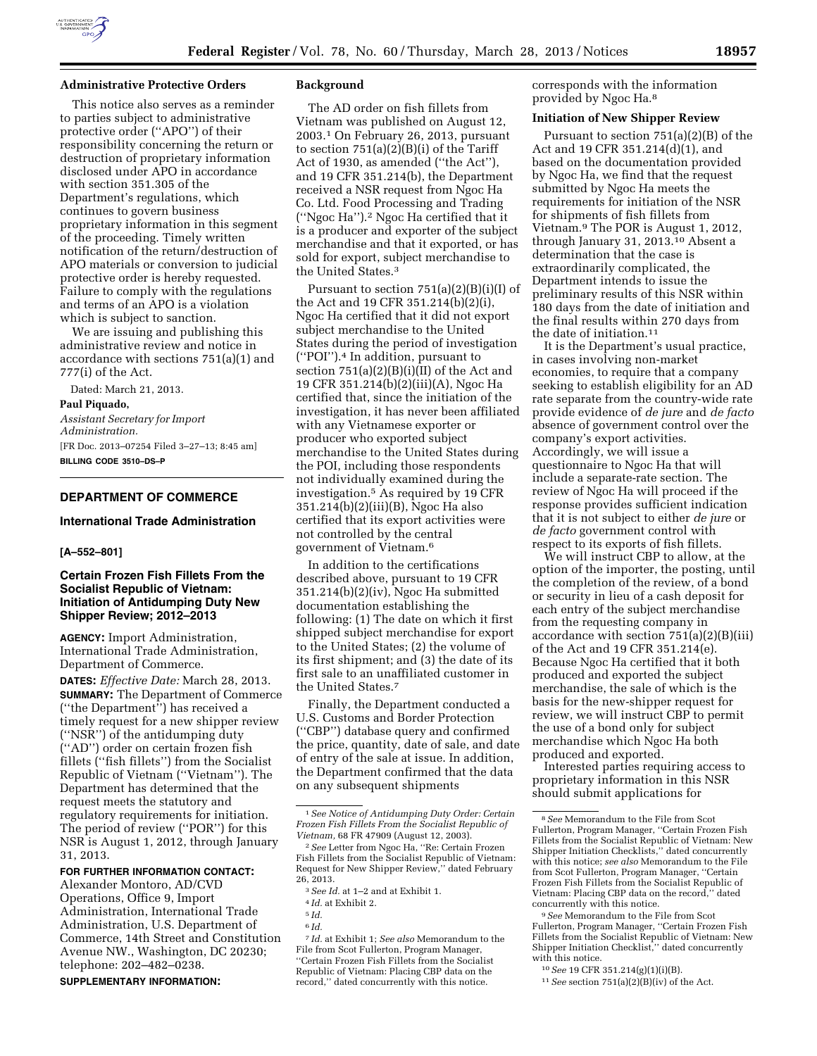

#### **Administrative Protective Orders**

This notice also serves as a reminder to parties subject to administrative protective order (''APO'') of their responsibility concerning the return or destruction of proprietary information disclosed under APO in accordance with section 351.305 of the Department's regulations, which continues to govern business proprietary information in this segment of the proceeding. Timely written notification of the return/destruction of APO materials or conversion to judicial protective order is hereby requested. Failure to comply with the regulations and terms of an APO is a violation which is subject to sanction.

We are issuing and publishing this administrative review and notice in accordance with sections 751(a)(1) and 777(i) of the Act.

Dated: March 21, 2013.

#### **Paul Piquado,**

*Assistant Secretary for Import Administration.*  [FR Doc. 2013–07254 Filed 3–27–13; 8:45 am] **BILLING CODE 3510–DS–P** 

## **DEPARTMENT OF COMMERCE**

## **International Trade Administration**

## **[A–552–801]**

# **Certain Frozen Fish Fillets From the Socialist Republic of Vietnam: Initiation of Antidumping Duty New Shipper Review; 2012–2013**

**AGENCY:** Import Administration, International Trade Administration, Department of Commerce.

**DATES:** *Effective Date:* March 28, 2013. **SUMMARY:** The Department of Commerce (''the Department'') has received a timely request for a new shipper review (''NSR'') of the antidumping duty (''AD'') order on certain frozen fish fillets (''fish fillets'') from the Socialist Republic of Vietnam (''Vietnam''). The Department has determined that the request meets the statutory and regulatory requirements for initiation. The period of review (''POR'') for this NSR is August 1, 2012, through January 31, 2013.

#### **FOR FURTHER INFORMATION CONTACT:**

Alexander Montoro, AD/CVD Operations, Office 9, Import Administration, International Trade Administration, U.S. Department of Commerce, 14th Street and Constitution Avenue NW., Washington, DC 20230; telephone: 202–482–0238. **SUPPLEMENTARY INFORMATION:** 

#### **Background**

The AD order on fish fillets from Vietnam was published on August 12, 2003.1 On February 26, 2013, pursuant to section 751(a)(2)(B)(i) of the Tariff Act of 1930, as amended (''the Act''), and 19 CFR 351.214(b), the Department received a NSR request from Ngoc Ha Co. Ltd. Food Processing and Trading (''Ngoc Ha'').2 Ngoc Ha certified that it is a producer and exporter of the subject merchandise and that it exported, or has sold for export, subject merchandise to the United States.3

Pursuant to section 751(a)(2)(B)(i)(I) of the Act and 19 CFR 351.214(b)(2)(i), Ngoc Ha certified that it did not export subject merchandise to the United States during the period of investigation (''POI'').4 In addition, pursuant to section 751(a)(2)(B)(i)(II) of the Act and 19 CFR 351.214(b)(2)(iii)(A), Ngoc Ha certified that, since the initiation of the investigation, it has never been affiliated with any Vietnamese exporter or producer who exported subject merchandise to the United States during the POI, including those respondents not individually examined during the investigation.5 As required by 19 CFR 351.214(b)(2)(iii)(B), Ngoc Ha also certified that its export activities were not controlled by the central government of Vietnam.6

In addition to the certifications described above, pursuant to 19 CFR 351.214(b)(2)(iv), Ngoc Ha submitted documentation establishing the following: (1) The date on which it first shipped subject merchandise for export to the United States; (2) the volume of its first shipment; and (3) the date of its first sale to an unaffiliated customer in the United States.7

Finally, the Department conducted a U.S. Customs and Border Protection (''CBP'') database query and confirmed the price, quantity, date of sale, and date of entry of the sale at issue. In addition, the Department confirmed that the data on any subsequent shipments

6 *Id.* 

7 *Id.* at Exhibit 1; *See also* Memorandum to the File from Scot Fullerton, Program Manager, ''Certain Frozen Fish Fillets from the Socialist Republic of Vietnam: Placing CBP data on the record,'' dated concurrently with this notice.

corresponds with the information provided by Ngoc Ha.8

#### **Initiation of New Shipper Review**

Pursuant to section 751(a)(2)(B) of the Act and 19 CFR 351.214(d)(1), and based on the documentation provided by Ngoc Ha, we find that the request submitted by Ngoc Ha meets the requirements for initiation of the NSR for shipments of fish fillets from Vietnam.9 The POR is August 1, 2012, through January 31, 2013.10 Absent a determination that the case is extraordinarily complicated, the Department intends to issue the preliminary results of this NSR within 180 days from the date of initiation and the final results within 270 days from the date of initiation.11

It is the Department's usual practice, in cases involving non-market economies, to require that a company seeking to establish eligibility for an AD rate separate from the country-wide rate provide evidence of *de jure* and *de facto*  absence of government control over the company's export activities. Accordingly, we will issue a questionnaire to Ngoc Ha that will include a separate-rate section. The review of Ngoc Ha will proceed if the response provides sufficient indication that it is not subject to either *de jure* or *de facto* government control with respect to its exports of fish fillets.

We will instruct CBP to allow, at the option of the importer, the posting, until the completion of the review, of a bond or security in lieu of a cash deposit for each entry of the subject merchandise from the requesting company in accordance with section  $751(a)(2)(B)(iii)$ of the Act and 19 CFR 351.214(e). Because Ngoc Ha certified that it both produced and exported the subject merchandise, the sale of which is the basis for the new-shipper request for review, we will instruct CBP to permit the use of a bond only for subject merchandise which Ngoc Ha both produced and exported.

Interested parties requiring access to proprietary information in this NSR should submit applications for

<sup>1</sup>*See Notice of Antidumping Duty Order: Certain Frozen Fish Fillets From the Socialist Republic of Vietnam,* 68 FR 47909 (August 12, 2003).

<sup>2</sup>*See* Letter from Ngoc Ha, ''Re: Certain Frozen Fish Fillets from the Socialist Republic of Vietnam: Request for New Shipper Review,'' dated February 26, 2013.

<sup>3</sup>*See Id.* at 1–2 and at Exhibit 1.

<sup>4</sup> *Id.* at Exhibit 2.

<sup>5</sup> *Id.* 

<sup>8</sup>*See* Memorandum to the File from Scot Fullerton, Program Manager, ''Certain Frozen Fish Fillets from the Socialist Republic of Vietnam: New Shipper Initiation Checklists,'' dated concurrently with this notice; *see also* Memorandum to the File from Scot Fullerton, Program Manager, ''Certain Frozen Fish Fillets from the Socialist Republic of Vietnam: Placing CBP data on the record,'' dated concurrently with this notice.

<sup>9</sup>*See* Memorandum to the File from Scot Fullerton, Program Manager, ''Certain Frozen Fish Fillets from the Socialist Republic of Vietnam: New Shipper Initiation Checklist,'' dated concurrently with this notice.

<sup>10</sup>*See* 19 CFR 351.214(g)(1)(i)(B).

<sup>11</sup>*See* section 751(a)(2)(B)(iv) of the Act.